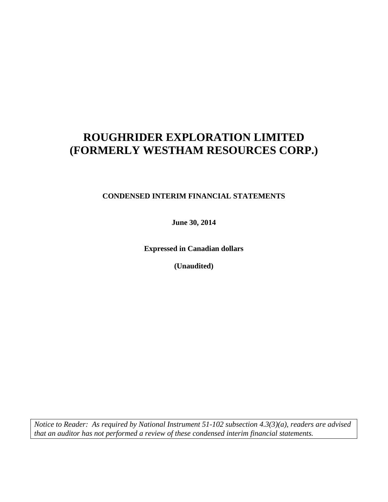### **CONDENSED INTERIM FINANCIAL STATEMENTS**

**June 30, 2014**

**Expressed in Canadian dollars**

**(Unaudited)**

*Notice to Reader: As required by National Instrument 51-102 subsection 4.3(3)(a), readers are advised that an auditor has not performed a review of these condensed interim financial statements.*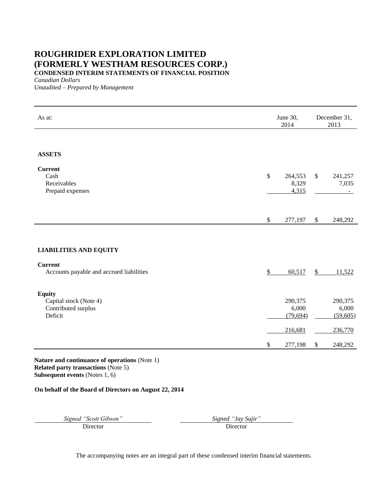**CONDENSED INTERIM STATEMENTS OF FINANCIAL POSITION**

*Canadian Dollars*

*Unaudited – Prepared by Management*

| As at:                                                                    |              | June 30,<br>2014              |                           | December 31,<br>2013               |  |
|---------------------------------------------------------------------------|--------------|-------------------------------|---------------------------|------------------------------------|--|
|                                                                           |              |                               |                           |                                    |  |
| <b>ASSETS</b>                                                             |              |                               |                           |                                    |  |
| <b>Current</b><br>Cash<br>Receivables<br>Prepaid expenses                 | $\mathbb{S}$ | 264,553<br>8,329<br>4,315     | $\$\,$                    | 241,257<br>7,035<br>$\blacksquare$ |  |
|                                                                           |              |                               |                           |                                    |  |
|                                                                           | $\$$         | 277,197                       | $\boldsymbol{\mathsf{S}}$ | 248,292                            |  |
|                                                                           |              |                               |                           |                                    |  |
| <b>LIABILITIES AND EQUITY</b>                                             |              |                               |                           |                                    |  |
| <b>Current</b><br>Accounts payable and accrued liabilities                | \$           | 60,517                        | $\mathbb{S}$              | 11,522                             |  |
|                                                                           |              |                               |                           |                                    |  |
| <b>Equity</b><br>Capital stock (Note 4)<br>Contributed surplus<br>Deficit |              | 290,375<br>6,000<br>(79, 694) |                           | 290,375<br>6,000<br>(59,605)       |  |
|                                                                           |              | 216,681                       |                           | 236,770                            |  |
|                                                                           | \$           | 277,198                       | $\boldsymbol{\mathsf{S}}$ | 248,292                            |  |

**Nature and continuance of operations** (Note 1) **Related party transactions** (Note 5) **Subsequent events** (Notes 1, 6)

#### **On behalf of the Board of Directors on August 22, 2014**

*Signed "Scott Gibson" Signed "Jay Sujir"*

Director Director Director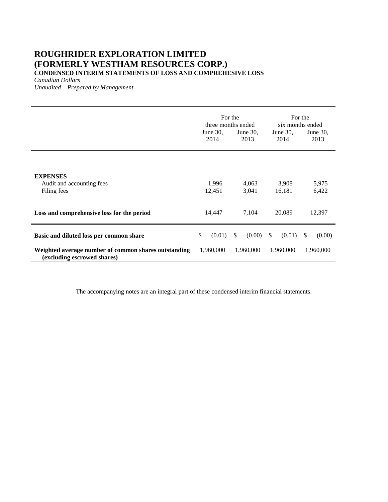**CONDENSED INTERIM STATEMENTS OF LOSS AND COMPREHESIVE LOSS**

*Canadian Dollars*

*Unaudited – Prepared by Management*

|                                                                                     | For the<br>three months ended<br>June $30$ ,<br>June $30$ ,<br>2014<br>2013 |                        | June $30$ ,<br>2014     | For the<br>six months ended<br>June 30,<br>2013 |  |
|-------------------------------------------------------------------------------------|-----------------------------------------------------------------------------|------------------------|-------------------------|-------------------------------------------------|--|
| <b>EXPENSES</b><br>Audit and accounting fees<br>Filing fees                         | 1,996<br>12,451                                                             | 4,063<br>3,041         | 3,908<br>16,181         | 5,975<br>6,422                                  |  |
| Loss and comprehensive loss for the period                                          | 14,447                                                                      | 7,104                  | 20,089                  | 12,397                                          |  |
| Basic and diluted loss per common share                                             | \$<br>(0.01)                                                                | $\mathbb{S}$<br>(0.00) | <sup>\$</sup><br>(0.01) | (0.00)<br><sup>\$</sup>                         |  |
| Weighted average number of common shares outstanding<br>(excluding escrowed shares) | 1,960,000                                                                   | 1,960,000              | 1,960,000               | 1,960,000                                       |  |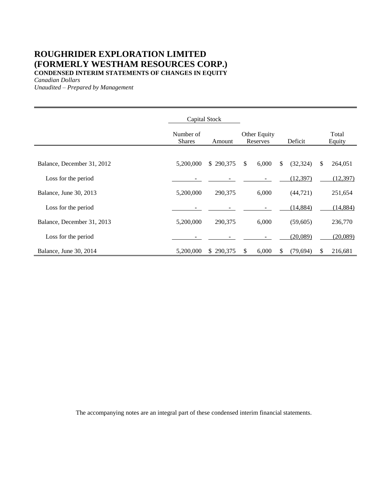### **ROUGHRIDER EXPLORATION LIMITED (FORMERLY WESTHAM RESOURCES CORP.) CONDENSED INTERIM STATEMENTS OF CHANGES IN EQUITY**

*Canadian Dollars*

*Unaudited – Prepared by Management*

|                            | Capital Stock              |           |              |                          |    |           |                 |
|----------------------------|----------------------------|-----------|--------------|--------------------------|----|-----------|-----------------|
|                            | Number of<br><b>Shares</b> | Amount    |              | Other Equity<br>Reserves |    | Deficit   | Total<br>Equity |
|                            |                            |           |              |                          |    |           |                 |
| Balance, December 31, 2012 | 5,200,000                  | \$290,375 | $\mathbb{S}$ | 6,000                    | \$ | (32, 324) | \$<br>264,051   |
| Loss for the period        |                            |           |              |                          |    | (12, 397) | (12, 397)       |
| Balance, June 30, 2013     | 5,200,000                  | 290,375   |              | 6,000                    |    | (44, 721) | 251,654         |
| Loss for the period        |                            |           |              |                          |    | (14, 884) | (14, 884)       |
| Balance, December 31, 2013 | 5,200,000                  | 290,375   |              | 6,000                    |    | (59,605)  | 236,770         |
| Loss for the period        |                            |           |              |                          |    | (20,089)  | (20,089)        |
| Balance, June 30, 2014     | 5,200,000                  | \$290,375 | S.           | 6,000                    | S  | (79,694)  | \$<br>216,681   |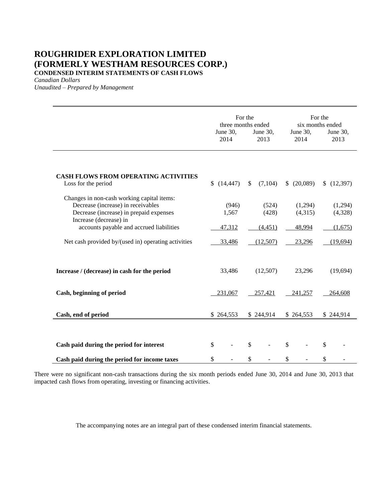### **ROUGHRIDER EXPLORATION LIMITED (FORMERLY WESTHAM RESOURCES CORP.) CONDENSED INTERIM STATEMENTS OF CASH FLOWS**

*Canadian Dollars*

*Unaudited – Prepared by Management*

|                                                                                                                                                       | June 30,<br>2014 | For the<br>three months ended<br>June 30,<br>2013 | For the<br>six months ended<br>June 30,<br>June 30,<br>2014<br>2013 |                             |  |  |
|-------------------------------------------------------------------------------------------------------------------------------------------------------|------------------|---------------------------------------------------|---------------------------------------------------------------------|-----------------------------|--|--|
| <b>CASH FLOWS FROM OPERATING ACTIVITIES</b><br>Loss for the period                                                                                    | (14, 447)        | (7,104)<br><sup>S</sup>                           | (20,089)                                                            | (12, 397)<br>$\mathbb{S}^-$ |  |  |
| Changes in non-cash working capital items:<br>Decrease (increase) in receivables<br>Decrease (increase) in prepaid expenses<br>Increase (decrease) in | (946)<br>1,567   | (524)<br>(428)                                    | (1,294)<br>(4,315)                                                  | (1,294)<br>(4,328)          |  |  |
| accounts payable and accrued liabilities                                                                                                              | 47,312           | (4, 451)                                          | 48,994                                                              | (1,675)                     |  |  |
| Net cash provided by/(used in) operating activities                                                                                                   | 33,486           | (12,507)                                          | 23,296                                                              | (19,694)                    |  |  |
| Increase / (decrease) in cash for the period                                                                                                          | 33,486           | (12,507)                                          | 23,296                                                              | (19, 694)                   |  |  |
| Cash, beginning of period                                                                                                                             | 231,067          | 257,421                                           | 241,257                                                             | 264,608                     |  |  |
| Cash, end of period                                                                                                                                   | \$264,553        | \$244,914                                         | \$264,553                                                           | \$244,914                   |  |  |
| Cash paid during the period for interest<br>Cash paid during the period for income taxes                                                              | \$<br>\$         | $\mathcal{S}$<br>\$                               | \$<br>\$                                                            | \$<br>\$                    |  |  |
|                                                                                                                                                       |                  |                                                   |                                                                     |                             |  |  |

There were no significant non-cash transactions during the six month periods ended June 30, 2014 and June 30, 2013 that impacted cash flows from operating, investing or financing activities.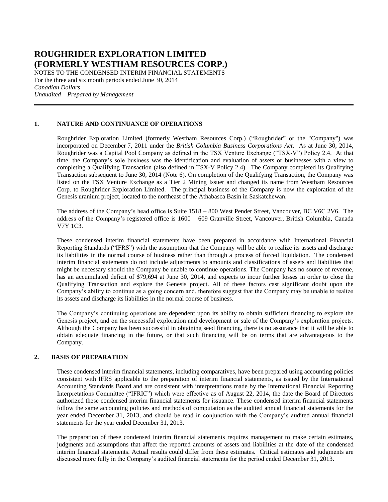NOTES TO THE CONDENSED INTERIM FINANCIAL STATEMENTS For the three and six month periods ended June 30, 2014 *Canadian Dollars Unaudited – Prepared by Management*

#### **1. NATURE AND CONTINUANCE OF OPERATIONS**

Roughrider Exploration Limited (formerly Westham Resources Corp.) ("Roughrider" or the "Company") was incorporated on December 7, 2011 under the *British Columbia Business Corporations Act*. As at June 30, 2014, Roughrider was a Capital Pool Company as defined in the TSX Venture Exchange ("TSX-V") Policy 2.4. At that time, the Company's sole business was the identification and evaluation of assets or businesses with a view to completing a Qualifying Transaction (also defined in TSX-V Policy 2.4). The Company completed its Qualifying Transaction subsequent to June 30, 2014 (Note 6). On completion of the Qualifying Transaction, the Company was listed on the TSX Venture Exchange as a Tier 2 Mining Issuer and changed its name from Westham Resources Corp. to Roughrider Exploration Limited. The principal business of the Company is now the exploration of the Genesis uranium project, located to the northeast of the Athabasca Basin in Saskatchewan.

The address of the Company's head office is Suite 1518 – 800 West Pender Street, Vancouver, BC V6C 2V6. The address of the Company's registered office is 1600 – 609 Granville Street, Vancouver, British Columbia, Canada V7Y 1C3.

These condensed interim financial statements have been prepared in accordance with International Financial Reporting Standards ("IFRS") with the assumption that the Company will be able to realize its assets and discharge its liabilities in the normal course of business rather than through a process of forced liquidation. The condensed interim financial statements do not include adjustments to amounts and classifications of assets and liabilities that might be necessary should the Company be unable to continue operations. The Company has no source of revenue, has an accumulated deficit of \$79,694 at June 30, 2014, and expects to incur further losses in order to close the Qualifying Transaction and explore the Genesis project. All of these factors cast significant doubt upon the Company's ability to continue as a going concern and, therefore suggest that the Company may be unable to realize its assets and discharge its liabilities in the normal course of business.

The Company's continuing operations are dependent upon its ability to obtain sufficient financing to explore the Genesis project, and on the successful exploration and development or sale of the Company's exploration projects. Although the Company has been successful in obtaining seed financing, there is no assurance that it will be able to obtain adequate financing in the future, or that such financing will be on terms that are advantageous to the Company.

#### **2. BASIS OF PREPARATION**

These condensed interim financial statements, including comparatives, have been prepared using accounting policies consistent with IFRS applicable to the preparation of interim financial statements, as issued by the International Accounting Standards Board and are consistent with interpretations made by the International Financial Reporting Interpretations Committee ("IFRIC") which were effective as of August 22, 2014, the date the Board of Directors authorized these condensed interim financial statements for issuance. These condensed interim financial statements follow the same accounting policies and methods of computation as the audited annual financial statements for the year ended December 31, 2013, and should be read in conjunction with the Company's audited annual financial statements for the year ended December 31, 2013.

The preparation of these condensed interim financial statements requires management to make certain estimates, judgments and assumptions that affect the reported amounts of assets and liabilities at the date of the condensed interim financial statements. Actual results could differ from these estimates. Critical estimates and judgments are discussed more fully in the Company's audited financial statements for the period ended December 31, 2013.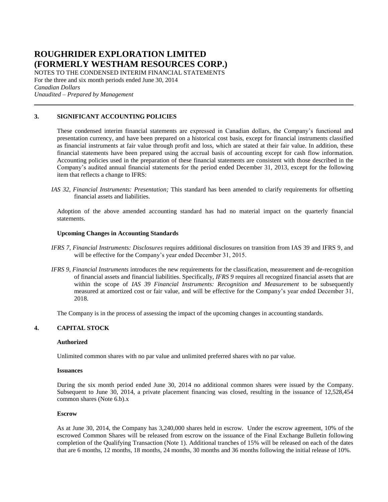NOTES TO THE CONDENSED INTERIM FINANCIAL STATEMENTS For the three and six month periods ended June 30, 2014 *Canadian Dollars Unaudited – Prepared by Management*

#### **3. SIGNIFICANT ACCOUNTING POLICIES**

These condensed interim financial statements are expressed in Canadian dollars, the Company's functional and presentation currency, and have been prepared on a historical cost basis, except for financial instruments classified as financial instruments at fair value through profit and loss, which are stated at their fair value. In addition, these financial statements have been prepared using the accrual basis of accounting except for cash flow information. Accounting policies used in the preparation of these financial statements are consistent with those described in the Company's audited annual financial statements for the period ended December 31, 2013, except for the following item that reflects a change to IFRS:

*IAS 32, Financial Instruments: Presentation;* This standard has been amended to clarify requirements for offsetting financial assets and liabilities.

Adoption of the above amended accounting standard has had no material impact on the quarterly financial statements.

#### **Upcoming Changes in Accounting Standards**

- *IFRS 7, Financial Instruments: Disclosures* requires additional disclosures on transition from IAS 39 and IFRS 9, and will be effective for the Company's year ended December 31, 2015.
- *IFRS 9, Financial Instruments* introduces the new requirements for the classification, measurement and de-recognition of financial assets and financial liabilities. Specifically, *IFRS 9* requires all recognized financial assets that are within the scope of *IAS 39 Financial Instruments: Recognition and Measurement* to be subsequently measured at amortized cost or fair value, and will be effective for the Company's year ended December 31, 2018.

The Company is in the process of assessing the impact of the upcoming changes in accounting standards.

#### **4. CAPITAL STOCK**

#### **Authorized**

Unlimited common shares with no par value and unlimited preferred shares with no par value.

#### **Issuances**

During the six month period ended June 30, 2014 no additional common shares were issued by the Company. Subsequent to June 30, 2014, a private placement financing was closed, resulting in the issuance of 12,528,454 common shares (Note 6.b).x

#### **Escrow**

As at June 30, 2014, the Company has 3,240,000 shares held in escrow. Under the escrow agreement, 10% of the escrowed Common Shares will be released from escrow on the issuance of the Final Exchange Bulletin following completion of the Qualifying Transaction (Note 1). Additional tranches of 15% will be released on each of the dates that are 6 months, 12 months, 18 months, 24 months, 30 months and 36 months following the initial release of 10%.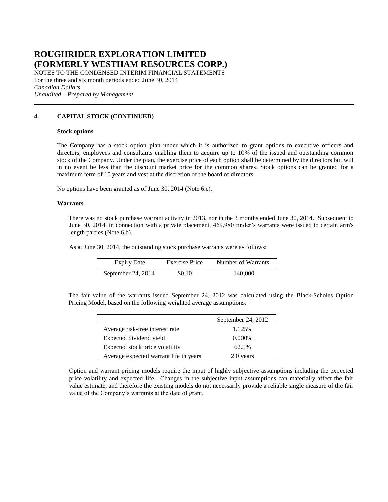NOTES TO THE CONDENSED INTERIM FINANCIAL STATEMENTS For the three and six month periods ended June 30, 2014 *Canadian Dollars Unaudited – Prepared by Management*

#### **4. CAPITAL STOCK (CONTINUED)**

#### **Stock options**

The Company has a stock option plan under which it is authorized to grant options to executive officers and directors, employees and consultants enabling them to acquire up to 10% of the issued and outstanding common stock of the Company. Under the plan, the exercise price of each option shall be determined by the directors but will in no event be less than the discount market price for the common shares. Stock options can be granted for a maximum term of 10 years and vest at the discretion of the board of directors.

No options have been granted as of June 30, 2014 (Note 6.c).

#### **Warrants**

There was no stock purchase warrant activity in 2013, nor in the 3 months ended June 30, 2014. Subsequent to June 30, 2014, in connection with a private placement, 469,980 finder's warrants were issued to certain arm's length parties (Note 6.b).

As at June 30, 2014, the outstanding stock purchase warrants were as follows:

| <b>Expiry Date</b> | Exercise Price | Number of Warrants |
|--------------------|----------------|--------------------|
| September 24, 2014 | \$0.10         | 140,000            |

The fair value of the warrants issued September 24, 2012 was calculated using the Black-Scholes Option Pricing Model, based on the following weighted average assumptions:

|                                        | September 24, 2012 |
|----------------------------------------|--------------------|
| Average risk-free interest rate        | 1.125%             |
| Expected dividend yield                | $0.000\%$          |
| Expected stock price volatility        | 62.5%              |
| Average expected warrant life in years | 2.0 years          |

Option and warrant pricing models require the input of highly subjective assumptions including the expected price volatility and expected life. Changes in the subjective input assumptions can materially affect the fair value estimate, and therefore the existing models do not necessarily provide a reliable single measure of the fair value of the Company's warrants at the date of grant.